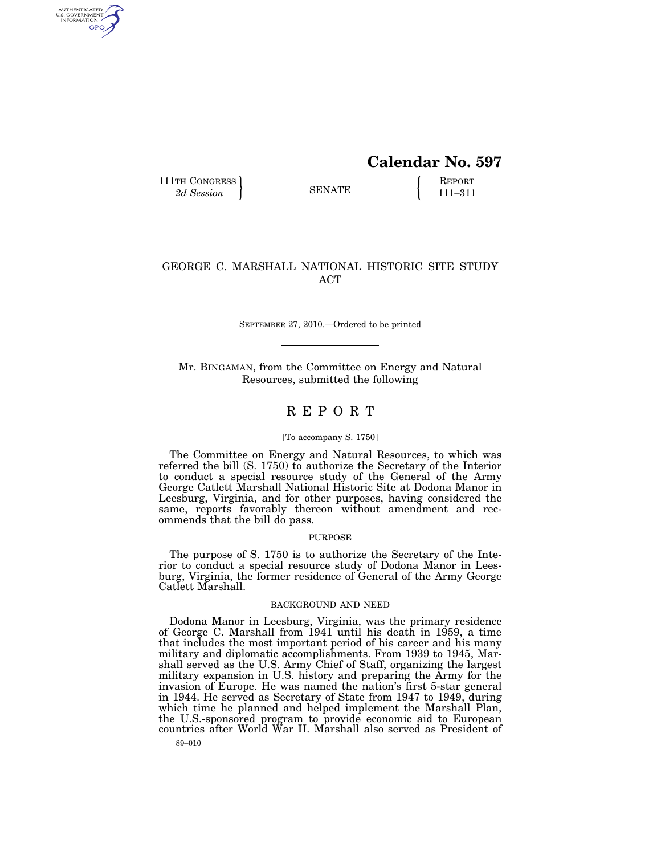# **Calendar No. 597**

111TH CONGRESS **REPORT** 2d Session **111 EXECUTE 111**–311

AUTHENTICATED<br>U.S. GOVERNMENT<br>INFORMATION **GPO** 

## GEORGE C. MARSHALL NATIONAL HISTORIC SITE STUDY ACT

SEPTEMBER 27, 2010.—Ordered to be printed

Mr. BINGAMAN, from the Committee on Energy and Natural Resources, submitted the following

## R E P O R T

#### [To accompany S. 1750]

The Committee on Energy and Natural Resources, to which was referred the bill (S. 1750) to authorize the Secretary of the Interior to conduct a special resource study of the General of the Army George Catlett Marshall National Historic Site at Dodona Manor in Leesburg, Virginia, and for other purposes, having considered the same, reports favorably thereon without amendment and recommends that the bill do pass.

#### PURPOSE

The purpose of S. 1750 is to authorize the Secretary of the Interior to conduct a special resource study of Dodona Manor in Leesburg, Virginia, the former residence of General of the Army George Catlett Marshall.

### BACKGROUND AND NEED

Dodona Manor in Leesburg, Virginia, was the primary residence of George C. Marshall from 1941 until his death in 1959, a time that includes the most important period of his career and his many military and diplomatic accomplishments. From 1939 to 1945, Marshall served as the U.S. Army Chief of Staff, organizing the largest military expansion in U.S. history and preparing the Army for the invasion of Europe. He was named the nation's first 5-star general in 1944. He served as Secretary of State from 1947 to 1949, during which time he planned and helped implement the Marshall Plan, the U.S.-sponsored program to provide economic aid to European countries after World War II. Marshall also served as President of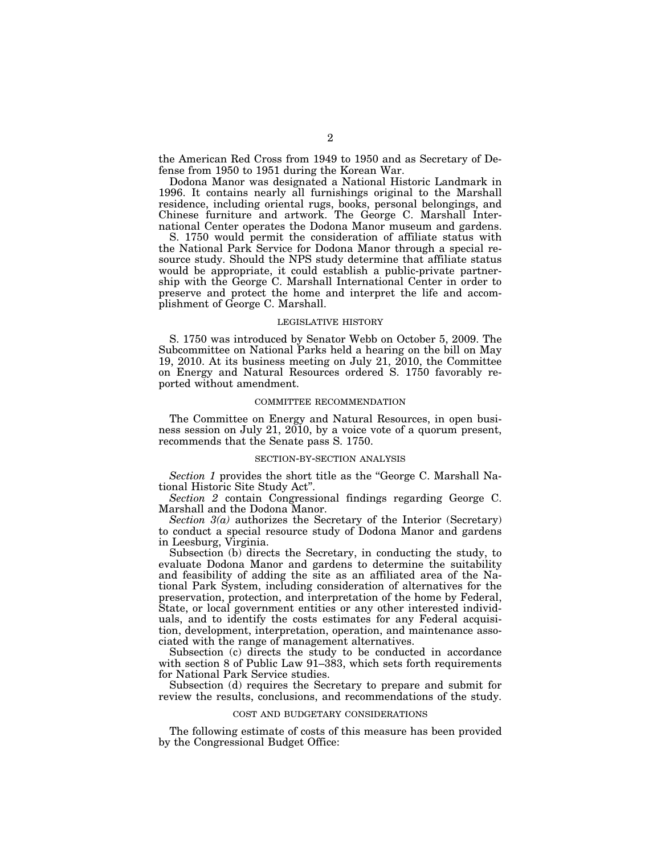the American Red Cross from 1949 to 1950 and as Secretary of Defense from 1950 to 1951 during the Korean War.

Dodona Manor was designated a National Historic Landmark in 1996. It contains nearly all furnishings original to the Marshall residence, including oriental rugs, books, personal belongings, and Chinese furniture and artwork. The George C. Marshall International Center operates the Dodona Manor museum and gardens.

S. 1750 would permit the consideration of affiliate status with the National Park Service for Dodona Manor through a special resource study. Should the NPS study determine that affiliate status would be appropriate, it could establish a public-private partnership with the George C. Marshall International Center in order to preserve and protect the home and interpret the life and accomplishment of George C. Marshall.

## LEGISLATIVE HISTORY

S. 1750 was introduced by Senator Webb on October 5, 2009. The Subcommittee on National Parks held a hearing on the bill on May 19, 2010. At its business meeting on July 21, 2010, the Committee on Energy and Natural Resources ordered S. 1750 favorably reported without amendment.

#### COMMITTEE RECOMMENDATION

The Committee on Energy and Natural Resources, in open business session on July 21, 2010, by a voice vote of a quorum present, recommends that the Senate pass S. 1750.

### SECTION-BY-SECTION ANALYSIS

*Section 1* provides the short title as the ''George C. Marshall National Historic Site Study Act''.

*Section 2* contain Congressional findings regarding George C. Marshall and the Dodona Manor.

*Section 3(a)* authorizes the Secretary of the Interior (Secretary) to conduct a special resource study of Dodona Manor and gardens in Leesburg, Virginia.

Subsection (b) directs the Secretary, in conducting the study, to evaluate Dodona Manor and gardens to determine the suitability and feasibility of adding the site as an affiliated area of the National Park System, including consideration of alternatives for the preservation, protection, and interpretation of the home by Federal, State, or local government entities or any other interested individuals, and to identify the costs estimates for any Federal acquisition, development, interpretation, operation, and maintenance associated with the range of management alternatives.

Subsection (c) directs the study to be conducted in accordance with section 8 of Public Law 91–383, which sets forth requirements for National Park Service studies.

Subsection (d) requires the Secretary to prepare and submit for review the results, conclusions, and recommendations of the study.

## COST AND BUDGETARY CONSIDERATIONS

The following estimate of costs of this measure has been provided by the Congressional Budget Office: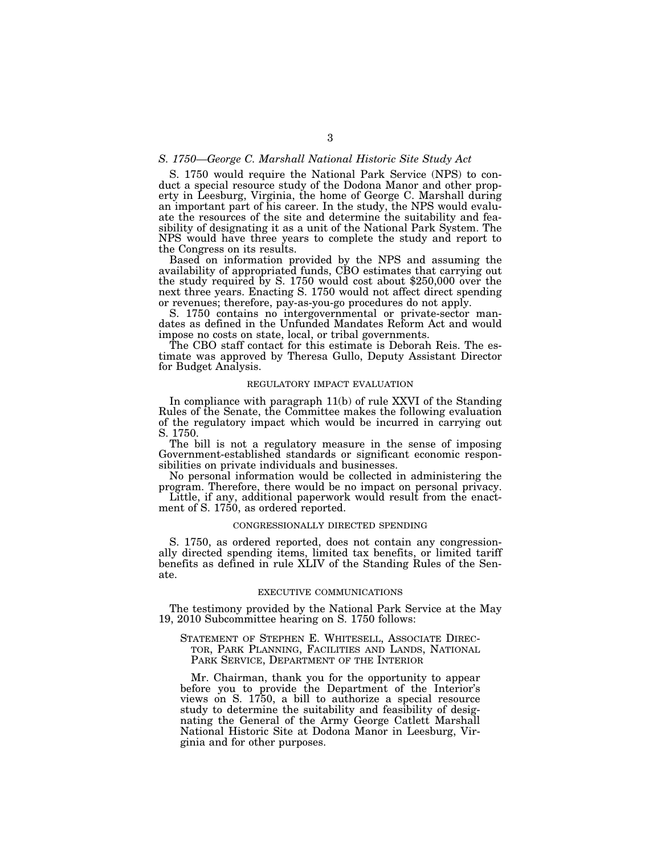## *S. 1750—George C. Marshall National Historic Site Study Act*

S. 1750 would require the National Park Service (NPS) to conduct a special resource study of the Dodona Manor and other property in Leesburg, Virginia, the home of George C. Marshall during an important part of his career. In the study, the NPS would evaluate the resources of the site and determine the suitability and feasibility of designating it as a unit of the National Park System. The NPS would have three years to complete the study and report to the Congress on its results.

Based on information provided by the NPS and assuming the availability of appropriated funds, CBO estimates that carrying out the study required by S. 1750 would cost about \$250,000 over the next three years. Enacting S. 1750 would not affect direct spending or revenues; therefore, pay-as-you-go procedures do not apply.

S. 1750 contains no intergovernmental or private-sector mandates as defined in the Unfunded Mandates Reform Act and would impose no costs on state, local, or tribal governments.

The CBO staff contact for this estimate is Deborah Reis. The estimate was approved by Theresa Gullo, Deputy Assistant Director for Budget Analysis.

## REGULATORY IMPACT EVALUATION

In compliance with paragraph 11(b) of rule XXVI of the Standing Rules of the Senate, the Committee makes the following evaluation of the regulatory impact which would be incurred in carrying out S. 1750.

The bill is not a regulatory measure in the sense of imposing Government-established standards or significant economic responsibilities on private individuals and businesses.

No personal information would be collected in administering the program. Therefore, there would be no impact on personal privacy.

Little, if any, additional paperwork would result from the enactment of S. 1750, as ordered reported.

#### CONGRESSIONALLY DIRECTED SPENDING

S. 1750, as ordered reported, does not contain any congressionally directed spending items, limited tax benefits, or limited tariff benefits as defined in rule XLIV of the Standing Rules of the Senate.

#### EXECUTIVE COMMUNICATIONS

The testimony provided by the National Park Service at the May 19, 2010 Subcommittee hearing on S. 1750 follows:

STATEMENT OF STEPHEN E. WHITESELL, ASSOCIATE DIREC-TOR, PARK PLANNING, FACILITIES AND LANDS, NATIONAL PARK SERVICE, DEPARTMENT OF THE INTERIOR

Mr. Chairman, thank you for the opportunity to appear before you to provide the Department of the Interior's views on S. 1750, a bill to authorize a special resource study to determine the suitability and feasibility of designating the General of the Army George Catlett Marshall National Historic Site at Dodona Manor in Leesburg, Virginia and for other purposes.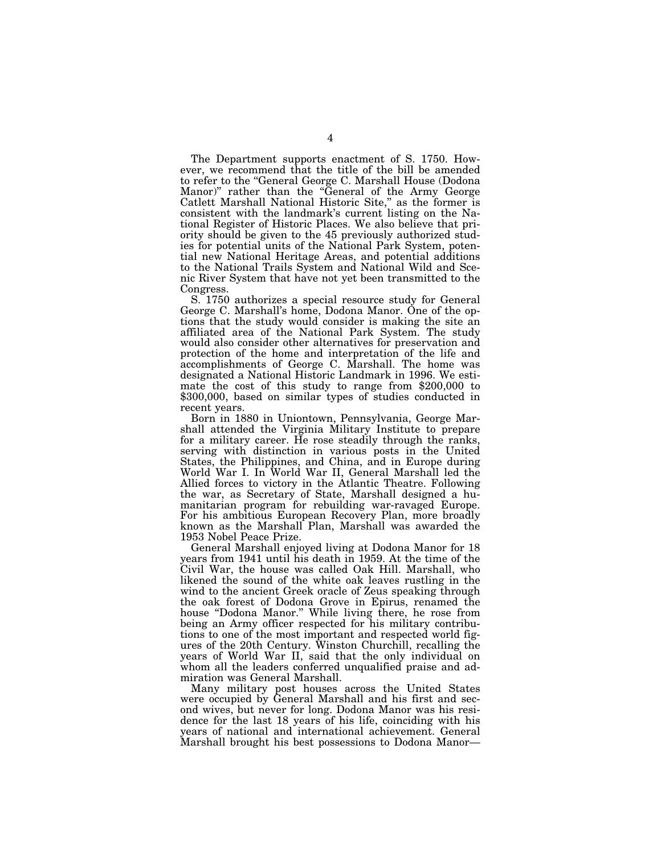The Department supports enactment of S. 1750. However, we recommend that the title of the bill be amended to refer to the ''General George C. Marshall House (Dodona Manor)'' rather than the ''General of the Army George Catlett Marshall National Historic Site,'' as the former is consistent with the landmark's current listing on the National Register of Historic Places. We also believe that priority should be given to the 45 previously authorized studies for potential units of the National Park System, potential new National Heritage Areas, and potential additions to the National Trails System and National Wild and Scenic River System that have not yet been transmitted to the Congress.

S. 1750 authorizes a special resource study for General George C. Marshall's home, Dodona Manor. One of the options that the study would consider is making the site an affiliated area of the National Park System. The study would also consider other alternatives for preservation and protection of the home and interpretation of the life and accomplishments of George C. Marshall. The home was designated a National Historic Landmark in 1996. We estimate the cost of this study to range from \$200,000 to \$300,000, based on similar types of studies conducted in recent years.

Born in 1880 in Uniontown, Pennsylvania, George Marshall attended the Virginia Military Institute to prepare for a military career. He rose steadily through the ranks, serving with distinction in various posts in the United States, the Philippines, and China, and in Europe during World War I. In World War II, General Marshall led the Allied forces to victory in the Atlantic Theatre. Following the war, as Secretary of State, Marshall designed a humanitarian program for rebuilding war-ravaged Europe. For his ambitious European Recovery Plan, more broadly known as the Marshall Plan, Marshall was awarded the 1953 Nobel Peace Prize.

General Marshall enjoyed living at Dodona Manor for 18 years from 1941 until his death in 1959. At the time of the Civil War, the house was called Oak Hill. Marshall, who likened the sound of the white oak leaves rustling in the wind to the ancient Greek oracle of Zeus speaking through the oak forest of Dodona Grove in Epirus, renamed the house ''Dodona Manor.'' While living there, he rose from being an Army officer respected for his military contributions to one of the most important and respected world figures of the 20th Century. Winston Churchill, recalling the years of World War II, said that the only individual on whom all the leaders conferred unqualified praise and admiration was General Marshall.

Many military post houses across the United States were occupied by General Marshall and his first and second wives, but never for long. Dodona Manor was his residence for the last 18 years of his life, coinciding with his years of national and international achievement. General Marshall brought his best possessions to Dodona Manor